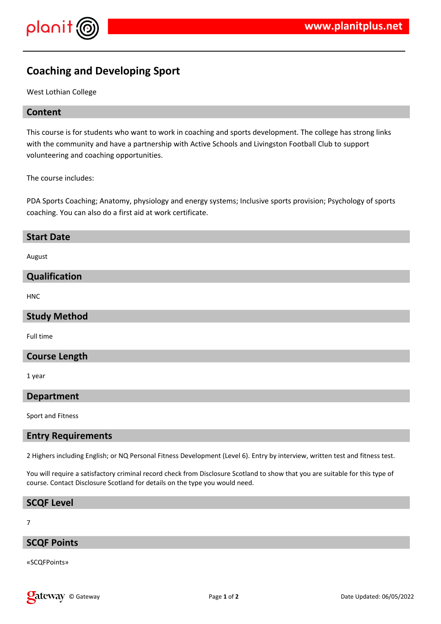

# **Coaching and Developing Sport**

West Lothian College

## **Content**

This course is for students who want to work in coaching and sports development. The college has strong links with the community and have a partnership with Active Schools and Livingston Football Club to support volunteering and coaching opportunities.

The course includes:

PDA Sports Coaching; Anatomy, physiology and energy systems; Inclusive sports provision; Psychology of sports coaching. You can also do a first aid at work certificate.

| <b>Start Date</b> |  |
|-------------------|--|
|                   |  |
| August            |  |

## **Qualification**

HNC

### **Study Method**

Full time

#### **Course Length**

1 year

#### **Department**

Sport and Fitness

#### **Entry Requirements**

2 Highers including English; or NQ Personal Fitness Development (Level 6). Entry by interview, written test and fitness test.

You will require a satisfactory criminal record check from Disclosure Scotland to show that you are suitable for this type of course. Contact Disclosure Scotland for details on the type you would need.

#### **SCQF Level**

7

#### **SCQF Points**

«SCQFPoints»